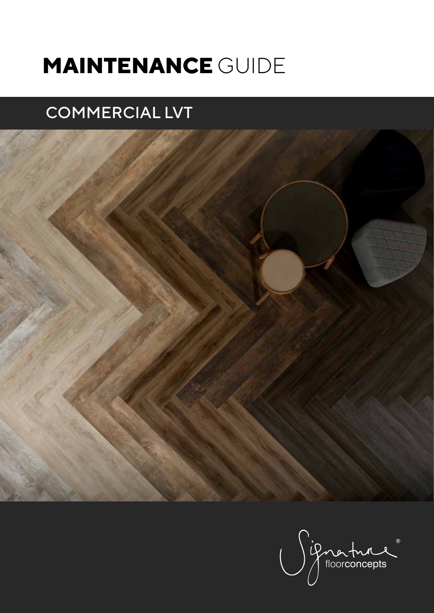# **MAINTENANCE** GUIDE

## COMMERCIAL LVT



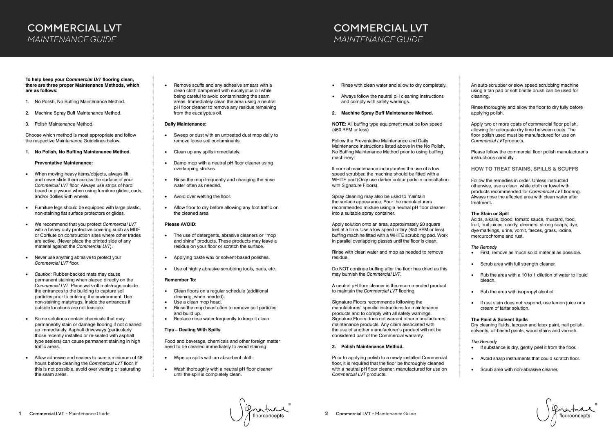## COMMERCIAL LVT *MAINTENANCE GUIDE*

Grahue

**To help keep your** *Commercial LVT* **flooring clean, there are three proper Maintenance Methods, which are as follows:**

- 1. No Polish, No Buffing Maintenance Method.
- 2. Machine Spray Buff Maintenance Method.
- 3. Polish Maintenance Method.

Choose which method is most appropriate and follow the respective Maintenance Guidelines below.

**1. No Polish, No Buffing Maintenance Method.**

#### **Preventative Maintenance:**

- When moving heavy items/objects, always lift and never slide them across the surface of your *Commercial LVT* floor. Always use strips of hard board or plywood when using furniture glides, carts, and/or dollies with wheels.
- Furniture legs should be equipped with large plastic, non-staining flat surface protectors or glides.
- We recommend that you protect *Commercial LVT* with a heavy duty protective covering such as MDF or Corflute on construction sites where other trades are active. (Never place the printed side of any material against the *Commercial LVT*).
- Never use anything abrasive to protect your *Commercial LVT* floor.
- *Caution:* Rubber-backed mats may cause permanent staining when placed directly on the *Commercial LVT*. Place walk-off mats/rugs outside the entrances to the building to capture soil particles prior to entering the environment. Use non-staining mats/rugs, inside the entrances if outside locations are not feasible.
- Some solutions contain chemicals that may permanently stain or damage flooring if not cleaned up immediately. Asphalt driveways (particularly those recently installed or re-sealed with asphalt type sealers) can cause permanent staining in high traffic areas.
- Allow adhesive and sealers to cure a minimum of 48 hours before cleaning the *Commercial LVT* floor. If this is not possible, avoid over wetting or saturating the seam areas.
- The use of detergents, abrasive cleaners or "mop and shine" products. These products may leave a residue on your floor or scratch the surface.
- Applying paste wax or solvent-based polishes.
- Use of highly abrasive scrubbing tools, pads, etc.

- Clean floors on a regular schedule (additional cleaning, when needed).
- Use a clean mop head.
- Rinse the mop head often to remove soil particles and build up.
- Replace rinse water frequently to keep it clean.

If normal maintenance incorporates the use of a low speed scrubber, the machine should be fitted with a WHITE pad (Only use darker colour pads in consultation with Signature Floors).

• Remove scuffs and any adhesive smears with a clean cloth dampened with eucalyptus oil while being careful to avoid contaminating the seam areas. Immediately clean the area using a neutral pH floor cleaner to remove any residue remaining from the eucalyptus oil.

#### **Daily Maintenance:**

Apply solution onto an area, approximately 20 square feet at a time. Use a low speed rotary (450 RPM or less) buffing machine fitted with a WHITE scrubbing pad. Work in parallel overlapping passes until the floor is clean.

- Sweep or dust with an untreated dust mop daily to remove loose soil contaminants.
- Clean up any spills immediately.
- Damp mop with a neutral pH floor cleaner using overlapping strokes.
- Rinse the mop frequently and changing the rinse water often as needed.
- Avoid over wetting the floor.
- Allow floor to dry before allowing any foot traffic on the cleaned area.

#### **Please AVOID:**

#### **Remember To:**

#### **Tips – Dealing With Spills**

Food and beverage, chemicals and other foreign matter need to be cleaned immediately to avoid staining:

- Wipe up spills with an absorbent cloth.
- Wash thoroughly with a neutral pH floor cleaner until the spill is completely clean.

## COMMERCIAL LVT *MAINTENANCE GUIDE*

- If substance is dry, gently peel it from the floor.
- Avoid sharp instruments that could scratch floor.
- Scrub area with non-abrasive cleaner.

Grature

- Rinse with clean water and allow to dry completely.
- Always follow the neutral pH cleaning instructions and comply with safety warnings.
- **2. Machine Spray Buff Maintenance Method.**

**NOTE:** All buffing type equipment must be low speed (450 RPM or less)

Follow the Preventative Maintenance and Daily Maintenance instructions listed above in the No Polish, No Buffing Maintenance Method prior to using buffing machinery:

Spray cleaning may also be used to maintain the surface appearance. Pour the manufacturers recommended mixture using a neutral pH floor cleaner into a suitable spray container.

Rinse with clean water and mop as needed to remove residue.

Do NOT continue buffing after the floor has dried as this may burnish the *Commercial LVT*.

A neutral pH floor cleaner is the recommended product to maintain the *Commercial LVT* flooring.

Signature Floors recommends following the manufactures' specific instructions for maintenance products and to comply with all safety warnings. Signature Floors does not warrant other manufacturers' maintenance products. Any claim associated with the use of another manufacturer's product will not be considered part of the Commercial warranty.

#### **3. Polish Maintenance Method.**

Prior to applying polish to a newly installed Commercial floor, it is required that the floor be thoroughly cleaned with a neutral pH floor cleaner, manufactured for use on *Commercial LVT* products.

An auto-scrubber or slow speed scrubbing machine using a tan pad or soft bristle brush can be used for cleaning.

Rinse thoroughly and allow the floor to dry fully before applying polish.

Apply two or more coats of commercial floor polish, allowing for adequate dry time between coats. The floor polish used must be manufactured for use on *Commercial LVT*products.

Please follow the commercial floor polish manufacturer's instructions carefully.

**HOW TO TREAT STAINS, SPILLS & SCUFFS**

Follow the remedies in order. Unless instructed otherwise, use a clean, white cloth or towel with products recommended for *Commercial LVT* flooring. Always rinse the affected area with clean water after treatment.

#### **The Stain or Spill**

Acids, alkalis, blood, tomato sauce, mustard, food, fruit, fruit juices, candy, cleaners, strong soaps, dye, dye markings, urine, vomit, faeces, grass, iodine, mercurochrome and rust.

#### *The Remedy*

- First, remove as much solid material as possible.
- Scrub area with full strength cleaner.
- Rub the area with a 10 to 1 dilution of water to liquid bleach.
- Rub the area with isopropyl alcohol.
- If rust stain does not respond, use lemon juice or a cream of tartar solution.

#### **The Paint & Solvent Spills**

Dry cleaning fluids, lacquer and latex paint, nail polish, solvents, oil-based paints, wood stains and varnish.

#### *The Remedy*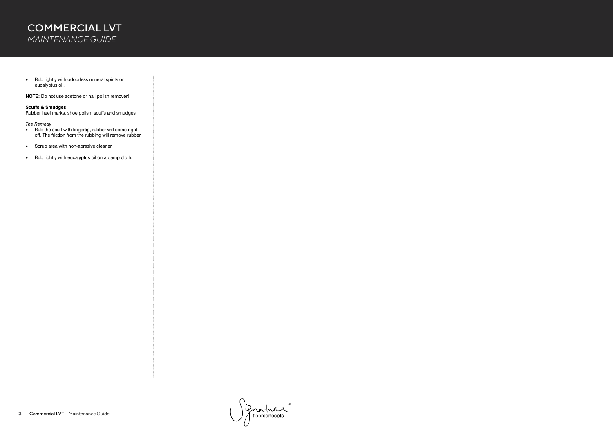## COMMERCIAL LVT *MAINTENANCE GUIDE*

• Rub lightly with odourless mineral spirits or eucalyptus oil.

**NOTE:** Do not use acetone or nail polish remover!

#### **Scuffs & Smudges**

Rubber heel marks, shoe polish, scuffs and smudges.

#### *The Remedy*

- Rub the scuff with fingertip, rubber will come right off. The friction from the rubbing will remove rubber.
- Scrub area with non-abrasive cleaner.
- Rub lightly with eucalyptus oil on a damp cloth.

if nortune